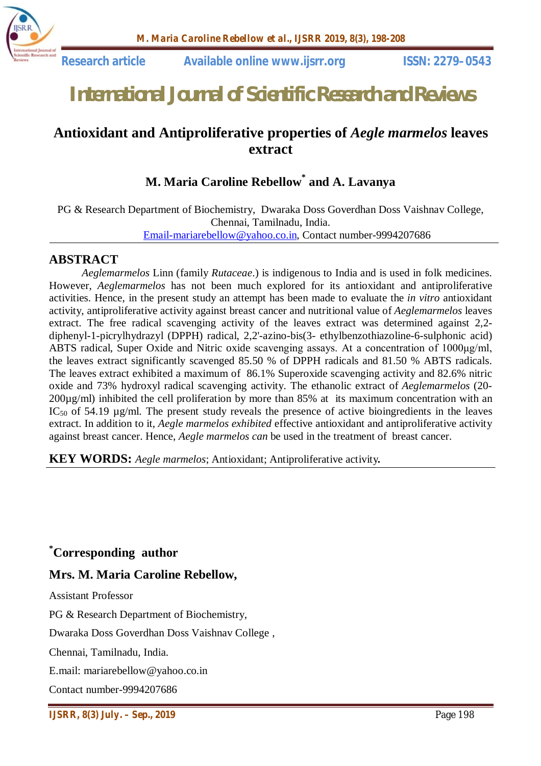

# *International Journal of Scientific Research and Reviews*

# **Antioxidant and Antiproliferative properties of** *Aegle marmelos* **leaves extract**

# **M. Maria Caroline Rebellow\* and A. Lavanya**

PG & Research Department of Biochemistry, Dwaraka Doss Goverdhan Doss Vaishnav College, Chennai, Tamilnadu, India. Email-mariarebellow@yahoo.co.in, Contact number-9994207686

#### **ABSTRACT**

*Aeglemarmelos* Linn (family *Rutaceae*.) is indigenous to India and is used in folk medicines. However, *Aeglemarmelos* has not been much explored for its antioxidant and antiproliferative activities. Hence, in the present study an attempt has been made to evaluate the *in vitro* antioxidant activity, antiproliferative activity against breast cancer and nutritional value of *Aeglemarmelos* leaves extract. The free radical scavenging activity of the leaves extract was determined against 2,2 diphenyl-1-picrylhydrazyl (DPPH) radical, 2,2'-azino-bis(3- ethylbenzothiazoline-6-sulphonic acid) ABTS radical, Super Oxide and Nitric oxide scavenging assays. At a concentration of 1000μg/ml, the leaves extract significantly scavenged 85.50 % of DPPH radicals and 81.50 % ABTS radicals. The leaves extract exhibited a maximum of 86.1% Superoxide scavenging activity and 82.6% nitric oxide and 73% hydroxyl radical scavenging activity. The ethanolic extract of *Aeglemarmelos* (20- 200µg/ml) inhibited the cell proliferation by more than 85% at its maximum concentration with an  $IC_{50}$  of 54.19  $\mu$ g/ml. The present study reveals the presence of active bioingredients in the leaves extract. In addition to it, *Aegle marmelos exhibited* effective antioxidant and antiproliferative activity against breast cancer. Hence, *Aegle marmelos can* be used in the treatment of breast cancer.

**KEY WORDS:** *Aegle marmelos*; Antioxidant; Antiproliferative activity*.*

#### **\*Corresponding author**

#### **Mrs. M. Maria Caroline Rebellow,**

Assistant Professor

PG & Research Department of Biochemistry,

Dwaraka Doss Goverdhan Doss Vaishnav College ,

Chennai, Tamilnadu, India.

E.mail: mariarebellow@yahoo.co.in

Contact number-9994207686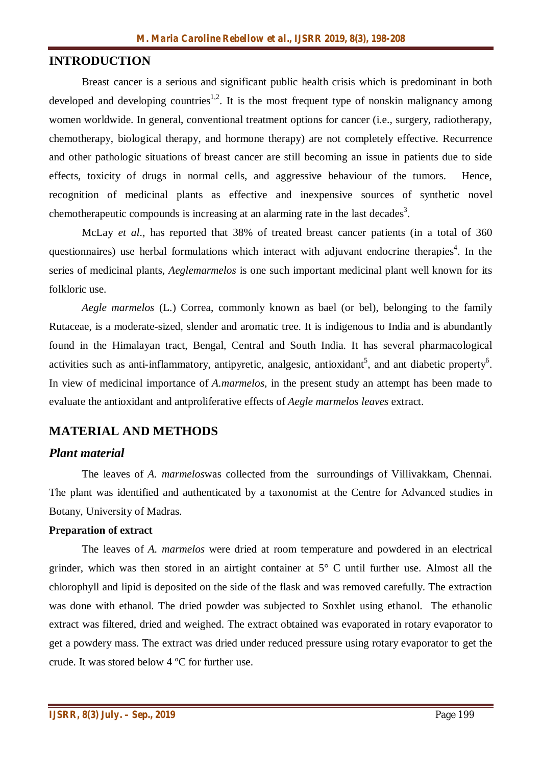#### **INTRODUCTION**

Breast cancer is a serious and significant public health crisis which is predominant in both developed and developing countries<sup>1,2</sup>. It is the most frequent type of nonskin malignancy among women worldwide. In general, conventional treatment options for cancer (i.e., surgery, radiotherapy, chemotherapy, biological therapy, and hormone therapy) are not completely effective. Recurrence and other pathologic situations of breast cancer are still becoming an issue in patients due to side effects, toxicity of drugs in normal cells, and aggressive behaviour of the tumors. Hence, recognition of medicinal plants as effective and inexpensive sources of synthetic novel chemotherapeutic compounds is increasing at an alarming rate in the last decades<sup>3</sup>.

McLay *et al*., has reported that 38% of treated breast cancer patients (in a total of 360 questionnaires) use herbal formulations which interact with adjuvant endocrine therapies<sup>4</sup>. In the series of medicinal plants, *Aeglemarmelos* is one such important medicinal plant well known for its folkloric use.

*Aegle marmelos* (L.) Correa, commonly known as bael (or bel), belonging to the family Rutaceae, is a moderate-sized, slender and aromatic tree. It is indigenous to India and is abundantly found in the Himalayan tract, Bengal, Central and South India. It has several pharmacological activities such as anti-inflammatory, antipyretic, analgesic, antioxidant<sup>5</sup>, and ant diabetic property<sup>6</sup>. In view of medicinal importance of *A.marmelos*, in the present study an attempt has been made to evaluate the antioxidant and antproliferative effects of *Aegle marmelos leaves* extract.

# **MATERIAL AND METHODS**

#### *Plant material*

The leaves of *A. marmelos*was collected from the surroundings of Villivakkam, Chennai. The plant was identified and authenticated by a taxonomist at the Centre for Advanced studies in Botany, University of Madras.

#### **Preparation of extract**

The leaves of *A. marmelos* were dried at room temperature and powdered in an electrical grinder, which was then stored in an airtight container at 5° C until further use. Almost all the chlorophyll and lipid is deposited on the side of the flask and was removed carefully. The extraction was done with ethanol. The dried powder was subjected to Soxhlet using ethanol. The ethanolic extract was filtered, dried and weighed. The extract obtained was evaporated in rotary evaporator to get a powdery mass. The extract was dried under reduced pressure using rotary evaporator to get the crude. It was stored below 4 ºC for further use.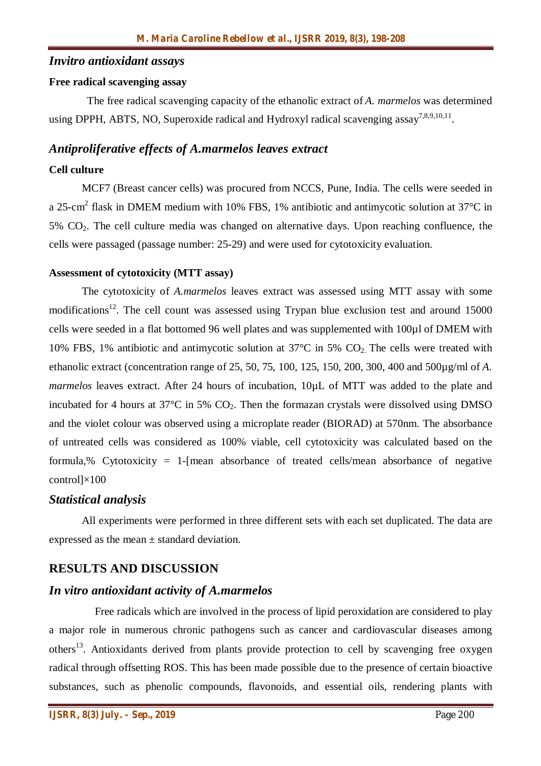#### *Invitro antioxidant assays*

#### **Free radical scavenging assay**

 The free radical scavenging capacity of the ethanolic extract of *A. marmelos* was determined using DPPH, ABTS, NO, Superoxide radical and Hydroxyl radical scavenging assay<sup>7,8,9,10,11</sup>.

#### *Antiproliferative effects of A.marmelos leaves extract*

#### **Cell culture**

MCF7 (Breast cancer cells) was procured from NCCS, Pune, India. The cells were seeded in a 25-cm<sup>2</sup> flask in DMEM medium with 10% FBS, 1% antibiotic and antimycotic solution at 37°C in  $5\%$  CO<sub>2</sub>. The cell culture media was changed on alternative days. Upon reaching confluence, the cells were passaged (passage number: 25-29) and were used for cytotoxicity evaluation.

#### **Assessment of cytotoxicity (MTT assay)**

The cytotoxicity of *A.marmelos* leaves extract was assessed using MTT assay with some modifications<sup>12</sup>. The cell count was assessed using Trypan blue exclusion test and around 15000 cells were seeded in a flat bottomed 96 well plates and was supplemented with 100µl of DMEM with 10% FBS, 1% antibiotic and antimycotic solution at  $37^{\circ}$ C in 5% CO<sub>2</sub>. The cells were treated with ethanolic extract (concentration range of 25, 50, 75, 100, 125, 150, 200, 300, 400 and 500µg/ml of *A. marmelos* leaves extract. After 24 hours of incubation,  $10\mu$ L of MTT was added to the plate and incubated for 4 hours at  $37^{\circ}$ C in 5% CO<sub>2</sub>. Then the formazan crystals were dissolved using DMSO and the violet colour was observed using a microplate reader (BIORAD) at 570nm. The absorbance of untreated cells was considered as 100% viable, cell cytotoxicity was calculated based on the formula,% Cytotoxicity = 1-[mean absorbance of treated cells/mean absorbance of negative control]×100

# *Statistical analysis*

All experiments were performed in three different sets with each set duplicated. The data are expressed as the mean ± standard deviation.

# **RESULTS AND DISCUSSION**

# *In vitro antioxidant activity of A.marmelos*

Free radicals which are involved in the process of lipid peroxidation are considered to play a major role in numerous chronic pathogens such as cancer and cardiovascular diseases among others<sup>13</sup>. Antioxidants derived from plants provide protection to cell by scavenging free oxygen radical through offsetting ROS. This has been made possible due to the presence of certain bioactive substances, such as phenolic compounds, flavonoids, and essential oils, rendering plants with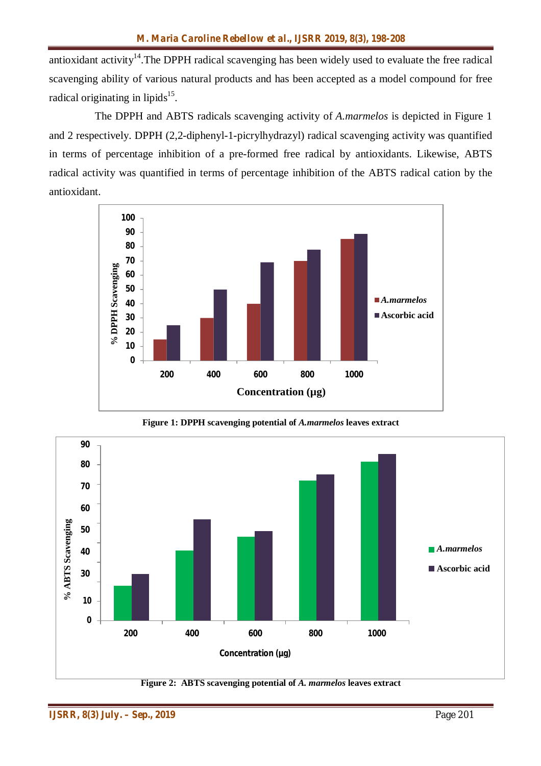antioxidant activity<sup>14</sup>. The DPPH radical scavenging has been widely used to evaluate the free radical scavenging ability of various natural products and has been accepted as a model compound for free radical originating in lipids<sup>15</sup>.

The DPPH and ABTS radicals scavenging activity of *A.marmelos* is depicted in Figure 1 and 2 respectively. DPPH (2,2-diphenyl-1-picrylhydrazyl) radical scavenging activity was quantified in terms of percentage inhibition of a pre-formed free radical by antioxidants. Likewise, ABTS radical activity was quantified in terms of percentage inhibition of the ABTS radical cation by the antioxidant.



**Figure 1: DPPH scavenging potential of** *A.marmelos* **leaves extract**

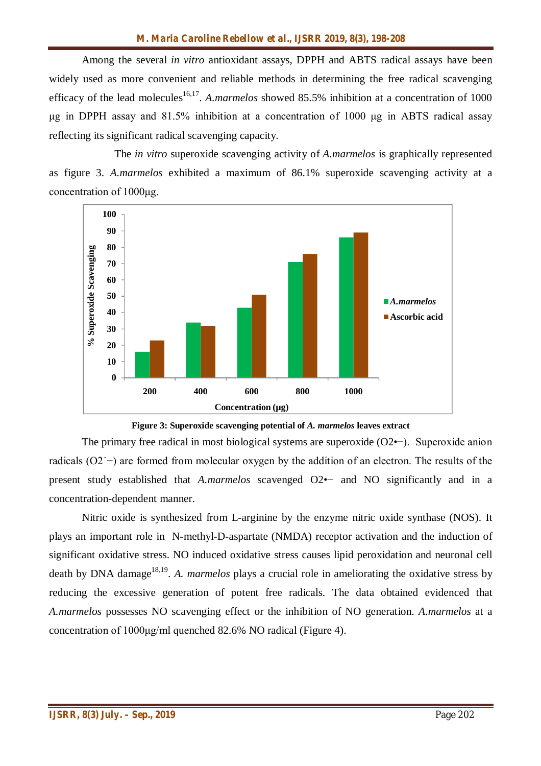Among the several *in vitro* antioxidant assays, DPPH and ABTS radical assays have been widely used as more convenient and reliable methods in determining the free radical scavenging efficacy of the lead molecules<sup>16,17</sup>. A.marmelos showed 85.5% inhibition at a concentration of 1000 μg in DPPH assay and 81.5% inhibition at a concentration of 1000 μg in ABTS radical assay reflecting its significant radical scavenging capacity.

The *in vitro* superoxide scavenging activity of *A.marmelos* is graphically represented as figure 3. *A.marmelos* exhibited a maximum of 86.1% superoxide scavenging activity at a concentration of 1000μg.





The primary free radical in most biological systems are superoxide (O2•−). Superoxide anion radicals (O2˙−) are formed from molecular oxygen by the addition of an electron. The results of the present study established that *A.marmelos* scavenged O2•− and NO significantly and in a concentration-dependent manner.

Nitric oxide is synthesized from L-arginine by the enzyme nitric oxide synthase (NOS). It plays an important role in N-methyl-D-aspartate (NMDA) receptor activation and the induction of significant oxidative stress. NO induced oxidative stress causes lipid peroxidation and neuronal cell death by DNA damage<sup>18,19</sup>. A. *marmelos* plays a crucial role in ameliorating the oxidative stress by reducing the excessive generation of potent free radicals. The data obtained evidenced that *A.marmelos* possesses NO scavenging effect or the inhibition of NO generation. *A.marmelos* at a concentration of 1000μg/ml quenched 82.6% NO radical (Figure 4).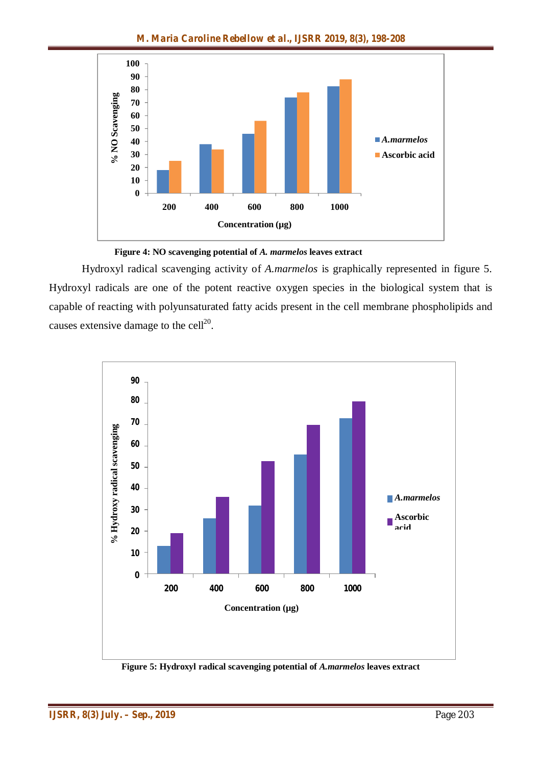

**Figure 4: NO scavenging potential of** *A. marmelos* **leaves extract**

Hydroxyl radical scavenging activity of *A.marmelos* is graphically represented in figure 5. Hydroxyl radicals are one of the potent reactive oxygen species in the biological system that is capable of reacting with polyunsaturated fatty acids present in the cell membrane phospholipids and causes extensive damage to the cell<sup>20</sup>.



**Figure 5: Hydroxyl radical scavenging potential of** *A.marmelos* **leaves extract**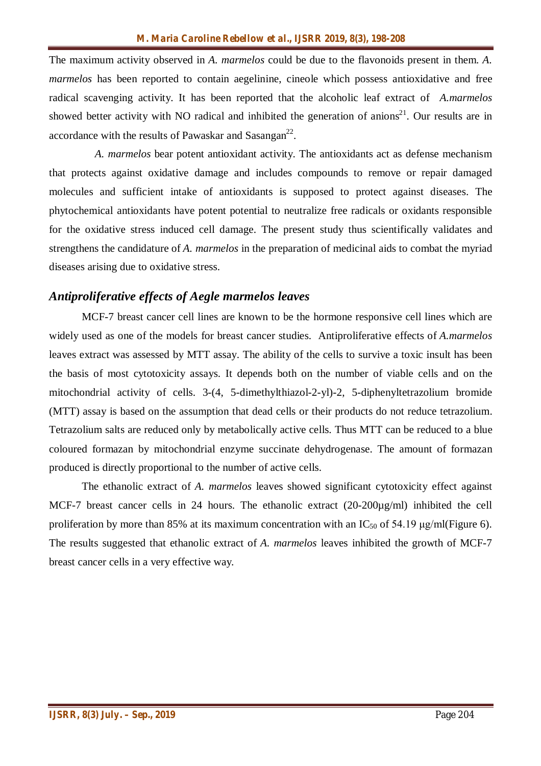The maximum activity observed in *A. marmelos* could be due to the flavonoids present in them. *A. marmelos* has been reported to contain aegelinine, cineole which possess antioxidative and free radical scavenging activity. It has been reported that the alcoholic leaf extract of *A.marmelos* showed better activity with NO radical and inhibited the generation of anions<sup>21</sup>. Our results are in accordance with the results of Pawaskar and Sasangan<sup>22</sup>.

*A. marmelos* bear potent antioxidant activity. The antioxidants act as defense mechanism that protects against oxidative damage and includes compounds to remove or repair damaged molecules and sufficient intake of antioxidants is supposed to protect against diseases. The phytochemical antioxidants have potent potential to neutralize free radicals or oxidants responsible for the oxidative stress induced cell damage. The present study thus scientifically validates and strengthens the candidature of *A. marmelos* in the preparation of medicinal aids to combat the myriad diseases arising due to oxidative stress.

#### *Antiproliferative effects of Aegle marmelos leaves*

MCF-7 breast cancer cell lines are known to be the hormone responsive cell lines which are widely used as one of the models for breast cancer studies. Antiproliferative effects of *A.marmelos* leaves extract was assessed by MTT assay. The ability of the cells to survive a toxic insult has been the basis of most cytotoxicity assays. It depends both on the number of viable cells and on the mitochondrial activity of cells. 3-(4, 5-dimethylthiazol-2-yl)-2, 5-diphenyltetrazolium bromide (MTT) assay is based on the assumption that dead cells or their products do not reduce tetrazolium. Tetrazolium salts are reduced only by metabolically active cells. Thus MTT can be reduced to a blue coloured formazan by mitochondrial enzyme succinate dehydrogenase. The amount of formazan produced is directly proportional to the number of active cells.

The ethanolic extract of *A. marmelos* leaves showed significant cytotoxicity effect against MCF-7 breast cancer cells in 24 hours. The ethanolic extract (20-200µg/ml) inhibited the cell proliferation by more than 85% at its maximum concentration with an  $IC_{50}$  of 54.19 μg/ml(Figure 6). The results suggested that ethanolic extract of *A. marmelos* leaves inhibited the growth of MCF-7 breast cancer cells in a very effective way.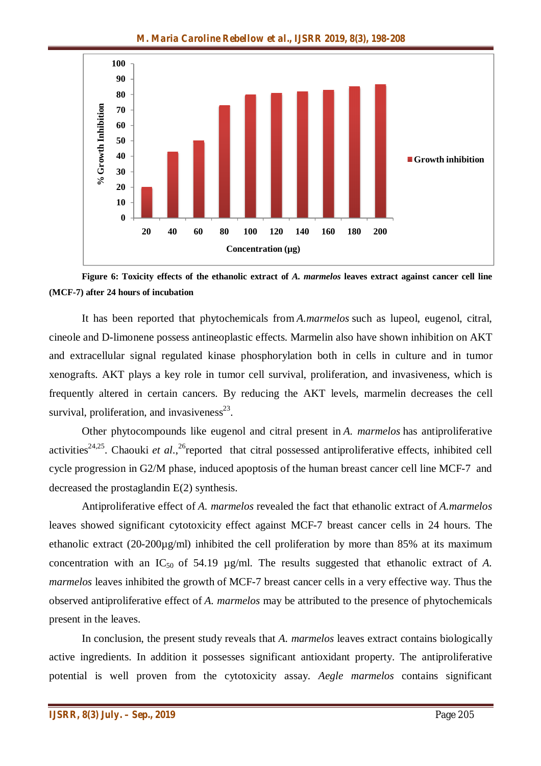

**Figure 6: Toxicity effects of the ethanolic extract of** *A. marmelos* **leaves extract against cancer cell line (MCF-7) after 24 hours of incubation**

It has been reported that phytochemicals from *A.marmelos* such as lupeol, eugenol, citral, cineole and D-limonene possess antineoplastic effects. Marmelin also have shown inhibition on AKT and extracellular signal regulated kinase phosphorylation both in cells in culture and in tumor xenografts. AKT plays a key role in tumor cell survival, proliferation, and invasiveness, which is frequently altered in certain cancers. By reducing the AKT levels, marmelin decreases the cell survival, proliferation, and invasiveness $^{23}$ .

Other phytocompounds like eugenol and citral present in *A. marmelos* has antiproliferative activities<sup>24,25</sup>. Chaouki *et al.*,<sup>26</sup> reported that citral possessed antiproliferative effects, inhibited cell cycle progression in G2/M phase, induced apoptosis of the human breast cancer cell line MCF-7 and decreased the prostaglandin E(2) synthesis.

Antiproliferative effect of *A. marmelos* revealed the fact that ethanolic extract of *A.marmelos* leaves showed significant cytotoxicity effect against MCF-7 breast cancer cells in 24 hours. The ethanolic extract  $(20-200\mu g/ml)$  inhibited the cell proliferation by more than 85% at its maximum concentration with an IC<sub>50</sub> of 54.19 µg/ml. The results suggested that ethanolic extract of *A*. *marmelos* leaves inhibited the growth of MCF-7 breast cancer cells in a very effective way. Thus the observed antiproliferative effect of *A. marmelos* may be attributed to the presence of phytochemicals present in the leaves.

In conclusion, the present study reveals that *A. marmelos* leaves extract contains biologically active ingredients. In addition it possesses significant antioxidant property. The antiproliferative potential is well proven from the cytotoxicity assay. *Aegle marmelos* contains significant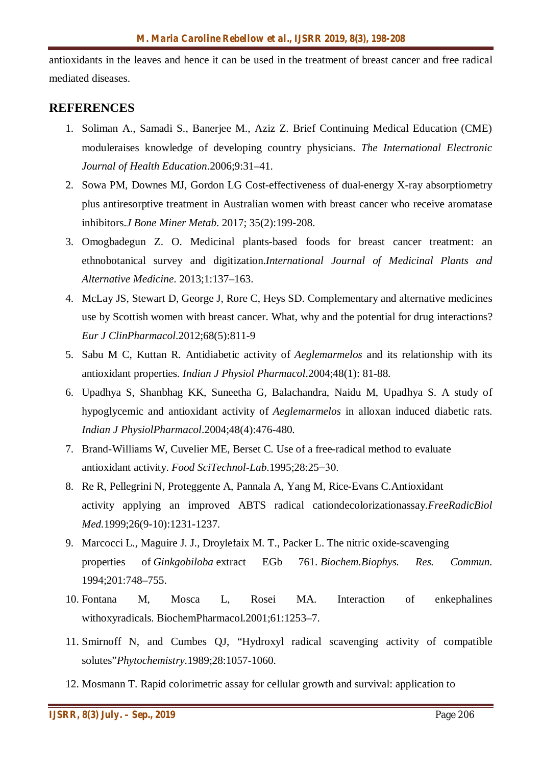antioxidants in the leaves and hence it can be used in the treatment of breast cancer and free radical mediated diseases.

#### **REFERENCES**

- 1. Soliman A., Samadi S., Banerjee M., Aziz Z. Brief Continuing Medical Education (CME) moduleraises knowledge of developing country physicians. *The International Electronic Journal of Health Education*.2006;9:31–41.
- 2. Sowa PM, Downes MJ, Gordon LG Cost-effectiveness of dual-energy X-ray absorptiometry plus antiresorptive treatment in Australian women with breast cancer who receive aromatase inhibitors.*J Bone Miner Metab*. 2017; 35(2):199-208.
- 3. Omogbadegun Z. O. Medicinal plants-based foods for breast cancer treatment: an ethnobotanical survey and digitization.*International Journal of Medicinal Plants and Alternative Medicine*. 2013;1:137–163.
- 4. McLay JS, Stewart D, George J, Rore C, Heys SD. Complementary and alternative medicines use by Scottish women with breast cancer. What, why and the potential for drug interactions? *Eur J ClinPharmacol*.2012;68(5):811-9
- 5. Sabu M C, Kuttan R. Antidiabetic activity of *Aeglemarmelos* and its relationship with its antioxidant properties. *Indian J Physiol Pharmacol*.2004;48(1): 81-88.
- 6. Upadhya S, Shanbhag KK, Suneetha G, Balachandra, Naidu M, Upadhya S. A study of hypoglycemic and antioxidant activity of *Aeglemarmelos* in alloxan induced diabetic rats. *Indian J PhysiolPharmacol*.2004;48(4):476-480*.*
- 7. Brand-Williams W, Cuvelier ME, Berset C. Use of a free-radical method to evaluate antioxidant activity. *Food SciTechnol-Lab*.1995;28:25−30.
- 8. Re R, Pellegrini N, Proteggente A, Pannala A, Yang M, Rice-Evans C.Antioxidant activity applying an improved ABTS radical cationdecolorizationassay.*FreeRadicBiol Med.*1999;26(9-10):1231-1237.
- 9. Marcocci L., Maguire J. J., Droylefaix M. T., Packer L. The nitric oxide-scavenging properties of *Ginkgobiloba* extract EGb 761. *Biochem.Biophys. Res. Commun.* 1994;201:748–755.
- 10. Fontana M, Mosca L, Rosei MA. Interaction of enkephalines withoxyradicals. BiochemPharmacol.2001;61:1253–7.
- 11. Smirnoff N, and Cumbes QJ, "Hydroxyl radical scavenging activity of compatible solutes"*Phytochemistry*.1989;28:1057-1060.
- 12. Mosmann T. Rapid colorimetric assay for cellular growth and survival: application to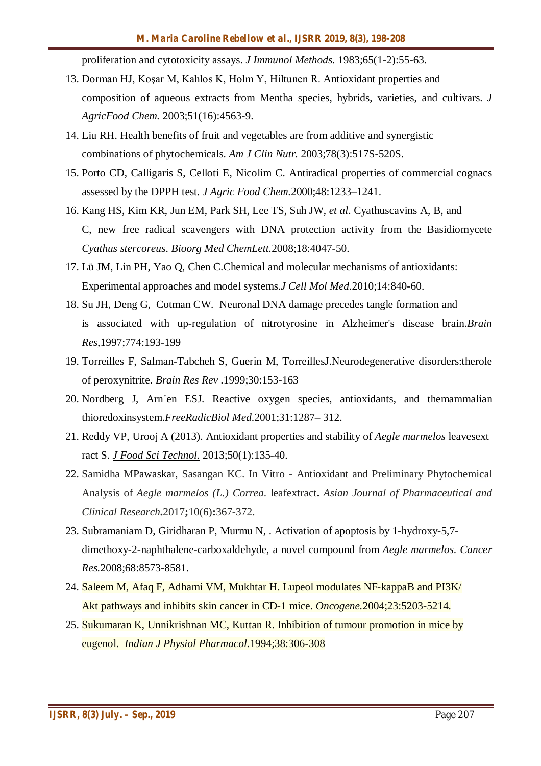proliferation and cytotoxicity assays. *J Immunol Methods*. 1983;65(1-2):55-63.

- 13. Dorman HJ, Koşar M, Kahlos K, Holm Y, Hiltunen R. Antioxidant properties and composition of aqueous extracts from Mentha species, hybrids, varieties, and cultivars. *J AgricFood Chem.* 2003;51(16):4563-9.
- 14. Liu RH. Health benefits of fruit and vegetables are from additive and synergistic combinations of phytochemicals. *Am J Clin Nutr.* 2003;78(3):517S-520S.
- 15. Porto CD, Calligaris S, Celloti E, Nicolim C. Antiradical properties of commercial cognacs assessed by the DPPH test. *J Agric Food Chem.*2000;48:1233–1241.
- 16. Kang HS, Kim KR, Jun EM, Park SH, Lee TS, Suh JW, *et al*. Cyathuscavins A, B, and C, new free radical scavengers with DNA protection activity from the Basidiomycete *Cyathus stercoreus*. *Bioorg Med ChemLett.*2008;18:4047-50.
- 17. Lü JM, Lin PH, Yao Q, Chen C.Chemical and molecular mechanisms of antioxidants: Experimental approaches and model systems.*J Cell Mol Med*.2010;14:840-60.
- 18. Su JH, Deng G, Cotman CW. Neuronal DNA damage precedes tangle formation and is associated with up-regulation of nitrotyrosine in Alzheimer's disease brain.*Brain Res,*1997;774:193-199
- 19. Torreilles F, Salman-Tabcheh S, Guerin M, TorreillesJ.Neurodegenerative disorders:therole of peroxynitrite. *Brain Res Rev* .1999;30:153-163
- 20. Nordberg J, Arn´en ESJ. Reactive oxygen species, antioxidants, and themammalian thioredoxinsystem.*FreeRadicBiol Med*.2001;31:1287– 312.
- 21. Reddy VP, Urooj A (2013). Antioxidant properties and stability of *Aegle marmelos* leavesext ract S. *J Food Sci Technol.* 2013;50(1):135-40.
- 22. Samidha MPawaskar, Sasangan KC. In Vitro Antioxidant and Preliminary Phytochemical Analysis of *Aegle marmelos (L.) Correa*. leafextract**.** *Asian Journal of Pharmaceutical and Clinical Research***.**2017**;**10(6)**:**367-372.
- 23. Subramaniam D, Giridharan P, Murmu N, . Activation of apoptosis by 1-hydroxy-5,7 dimethoxy-2-naphthalene-carboxaldehyde, a novel compound from *Aegle marmelos*. *Cancer Res.*2008;68:8573-8581.
- 24. Saleem M, Afaq F, Adhami VM, Mukhtar H. Lupeol modulates NF-kappaB and PI3K/ Akt pathways and inhibits skin cancer in CD-1 mice. *Oncogene.*2004;23:5203-5214*.*
- 25. Sukumaran K, Unnikrishnan MC, Kuttan R. Inhibition of tumour promotion in mice by eugenol. *Indian J Physiol Pharmacol.*1994;38:306-308